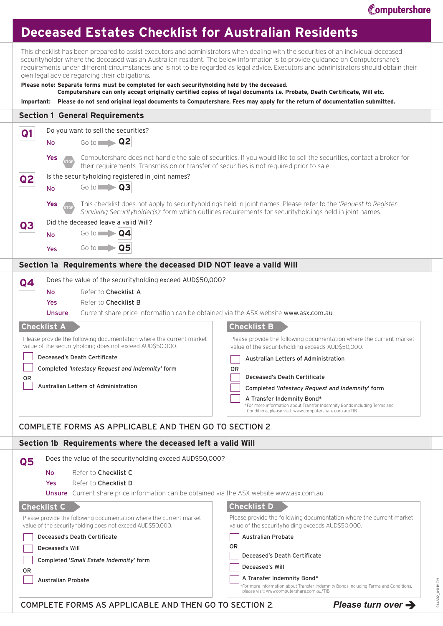## **Deceased Estates Checklist for Australian Residents**

This checklist has been prepared to assist executors and administrators when dealing with the securities of an individual deceased securityholder where the deceased was an Australian resident. The below information is to provide guidance on Computershare's requirements under different circumstances and is not to be regarded as legal advice. Executors and administrators should obtain their own legal advice regarding their obligations.

| Please note: Separate forms must be completed for each securityholding held by the deceased.<br>Computershare can only accept originally certified copies of legal documents i.e. Probate, Death Certificate, Will etc.<br>Important: Please do not send original legal documents to Computershare. Fees may apply for the return of documentation submitted.                                                                                        |                                                                                                                                                                                                                                                                                                                                                                                                                                |  |  |  |
|------------------------------------------------------------------------------------------------------------------------------------------------------------------------------------------------------------------------------------------------------------------------------------------------------------------------------------------------------------------------------------------------------------------------------------------------------|--------------------------------------------------------------------------------------------------------------------------------------------------------------------------------------------------------------------------------------------------------------------------------------------------------------------------------------------------------------------------------------------------------------------------------|--|--|--|
| <b>Section 1 General Requirements</b>                                                                                                                                                                                                                                                                                                                                                                                                                |                                                                                                                                                                                                                                                                                                                                                                                                                                |  |  |  |
| Do you want to sell the securities?<br>Q1<br>Q <sub>2</sub><br>$Go to \Box$<br><b>No</b><br><b>Yes</b>                                                                                                                                                                                                                                                                                                                                               | Computershare does not handle the sale of securities. If you would like to sell the securities, contact a broker for                                                                                                                                                                                                                                                                                                           |  |  |  |
| their requirements. Transmission or transfer of securities is not required prior to sale.<br>Is the security holding registered in joint names?<br> Q2 <br>$Go to \blacksquare$<br>Q <sub>3</sub><br>No<br>This checklist does not apply to security holdings held in joint names. Please refer to the 'Request to Register<br><b>Yes</b><br>Surviving Securityholder(s)' form which outlines requirements for securityholdings held in joint names. |                                                                                                                                                                                                                                                                                                                                                                                                                                |  |  |  |
| Did the deceased leave a valid Will?<br>Q3<br>Go to $\Box$<br><b>Q4</b><br><b>No</b><br>$Go to \blacksquare$<br>Q5<br>Yes                                                                                                                                                                                                                                                                                                                            |                                                                                                                                                                                                                                                                                                                                                                                                                                |  |  |  |
| Section 1a Requirements where the deceased DID NOT leave a valid Will                                                                                                                                                                                                                                                                                                                                                                                |                                                                                                                                                                                                                                                                                                                                                                                                                                |  |  |  |
| Does the value of the securityholding exceed AUD\$50,000?<br>Q4<br>Refer to Checklist A<br><b>No</b><br>Refer to Checklist B<br>Yes<br>Current share price information can be obtained via the ASX website www.asx.com.au.<br><b>Unsure</b><br><b>Checklist A</b>                                                                                                                                                                                    | <b>Checklist B</b>                                                                                                                                                                                                                                                                                                                                                                                                             |  |  |  |
| Please provide the following documentation where the current market<br>value of the securityholding does not exceed AUD\$50,000.<br>Deceased's Death Certificate<br>Completed 'Intestacy Request and Indemnity' form<br>0R<br>Australian Letters of Administration<br><b>COMPLETE FORMS AS APPLICABLE AND THEN GO TO SECTION 2.</b>                                                                                                                  | Please provide the following documentation where the current market<br>value of the securityholding exceeds AUD\$50,000.<br>Australian Letters of Administration<br>0R<br>Deceased's Death Certificate<br>Completed 'Intestacy Request and Indemnity' form<br>A Transfer Indemnity Bond*<br>*For more information about Transfer Indemnity Bonds including Terms and<br>Conditions, please visit: www.computershare.com.au/TIB |  |  |  |
| Section 1b Requirements where the deceased left a valid Will                                                                                                                                                                                                                                                                                                                                                                                         |                                                                                                                                                                                                                                                                                                                                                                                                                                |  |  |  |
| Does the value of the security holding exceed AUD\$50,000?<br>$\overline{\mathbf{Q}}$<br>Refer to Checklist C<br><b>No</b><br>Refer to Checklist D<br>Yes                                                                                                                                                                                                                                                                                            |                                                                                                                                                                                                                                                                                                                                                                                                                                |  |  |  |
| Unsure Current share price information can be obtained via the ASX website www.asx.com.au.<br><b>Checklist C</b><br>Please provide the following documentation where the current market<br>value of the security holding does not exceed AUD\$50,000.<br>Deceased's Death Certificate<br>Deceased's Will<br>Completed 'Small Estate Indemnity' form<br>0 <sub>R</sub><br><b>Australian Probate</b>                                                   | <b>Checklist D</b><br>Please provide the following documentation where the current market<br>value of the security holding exceeds AUD\$50,000.<br><b>Australian Probate</b><br>0 <sub>R</sub><br>Deceased's Death Certificate<br>Deceased's Will<br>A Transfer Indemnity Bond*<br>*For more information about Transfer Indemnity Bonds including Terms and Conditions,<br>please visit: www.computershare.com.au/TIB          |  |  |  |

COMPLETE FORMS AS APPLICABLE AND THEN GO TO SECTION 2*. Please turn over* 

214692\_01UHOH

214692\_01UHOH